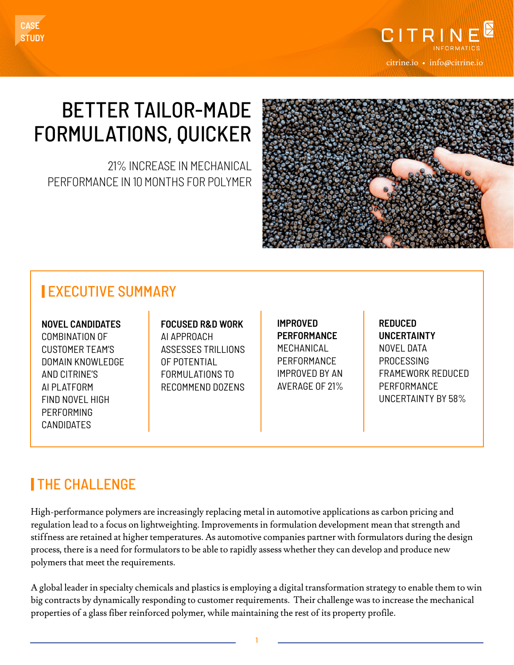

# BETTER TAILOR-MADE FORMULATIONS, QUICKER

21% INCREASE IN MECHANICAL PERFORMANCE IN 10 MONTHS FOR POLYMER



#### | EXECUTIVE SUMMARY

**NOVEL CANDIDATES** COMBINATION OF CUSTOMER TEAM'S DOMAIN KNOWLEDGE AND CITRINE'S AI PLATFORM FIND NOVEL HIGH PERFORMING CANDIDATES

**FOCUSED R&D WORK** AI APPROACH ASSESSES TRILLIONS OF POTENTIAL FORMULATIONS TO RECOMMEND DOZENS **IMPROVED PERFORMANCE** MECHANICAL PERFORMANCE IMPROVED BY AN AVERAGE OF 21% **REDUCED UNCERTAINTY** NOVEL DATA PROCESSING FRAMEWORK REDUCED PERFORMANCE UNCERTAINTY BY 58%

## | THE CHALLENGE

High-performance polymers are increasingly replacing metal in automotive applications as carbon pricing and regulation lead to a focus on lightweighting. Improvements in formulation development mean that strength and stiffness are retained at higher temperatures. As automotive companies partner with formulators during the design process, there is a need for formulators to be able to rapidly assess whether they can develop and produce new polymers that meet the requirements.

A global leader in specialty chemicals and plastics is employing a digital transformation strategy to enable them to win big contracts by dynamically responding to customer requirements. Their challenge was to increase the mechanical properties of a glass fiber reinforced polymer, while maintaining the rest of its property profile.

1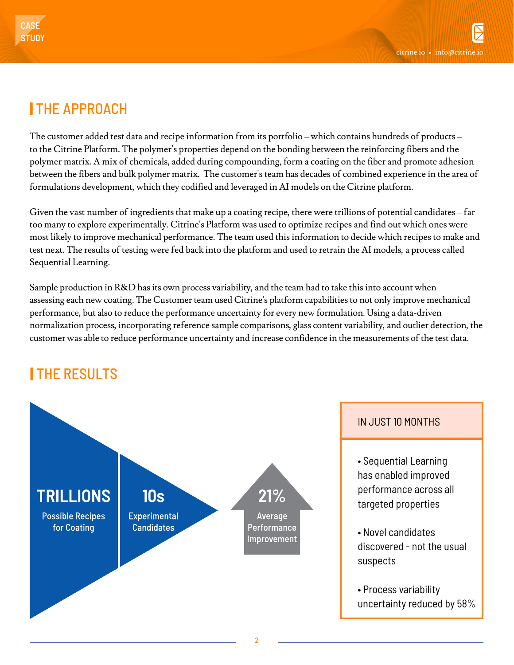### | THE APPROACH

The customer added test data and recipe information from its portfolio – which contains hundreds of products – to the Citrine Platform. The polymer's properties depend on the bonding between the reinforcing fibers and the polymer matrix. A mix of chemicals, added during compounding, form a coating on the fiber and promote adhesion between the fibers and bulk polymer matrix. The customer's team has decades of combined experience in the area of formulations development, which they codified and leveraged in AI models on the Citrine platform.

Given the vast number of ingredients that make up a coating recipe, there were trillions of potential candidates – far too many to explore experimentally. Citrine's Platform was used to optimize recipes and find out which ones were most likely to improve mechanical performance. The team used this information to decide which recipes to make and test next. The results of testing were fed back into the platform and used to retrain the AI models, a process called Sequential Learning.

Sample production in R&D has its own process variability, and the team had to take this into account when assessing each new coating. The Customer team used Citrine's platform capabilities to not only improve mechanical performance, but also to reduce the performance uncertainty for every new formulation. Using a data-driven normalization process, incorporating reference sample comparisons, glass content variability, and outlier detection, the customer was able to reduce performance uncertainty and increase confidence in the measurements of the test data.

## **ITHE RESULTS**